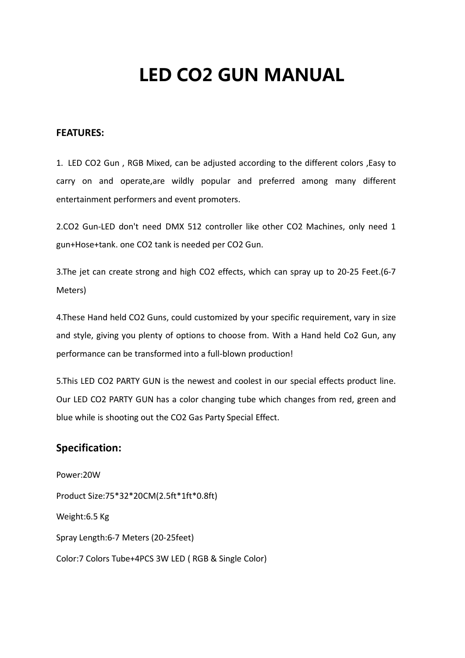# **LED CO2 GUN MANUAL**

#### **FEATURES:**

1. LED CO2 Gun , RGB Mixed, can be adjusted according to the different colors ,Easy to carry on and operate,are wildly popular and preferred among many different entertainment performers and event promoters.

2.CO2 Gun-LED don't need DMX 512 controller like other CO2 Machines, only need 1 gun+Hose+tank. one CO2 tank is needed per CO2 Gun.

3.The jet can create strong and high CO2 effects, which can spray up to 20-25 Feet.(6-7 Meters)

4.These Hand held CO2 Guns, could customized by your specific requirement, vary in size and style, giving you plenty of options to choose from. With a Hand held Co2 Gun, any performance can be transformed into a full-blown production!

5.This LED CO2 PARTY GUN is the newest and coolest in our special effects product line. Our LED CO2 PARTY GUN has a color changing tube which changes from red, green and blue while is shooting out the CO2 Gas Party Special Effect.

#### **Specification:**

Power:20W Product Size:75\*32\*20CM(2.5ft\*1ft\*0.8ft) Weight:6.5 Kg Spray Length:6-7 Meters (20-25feet) Color:7 Colors Tube+4PCS 3W LED ( RGB & Single Color)